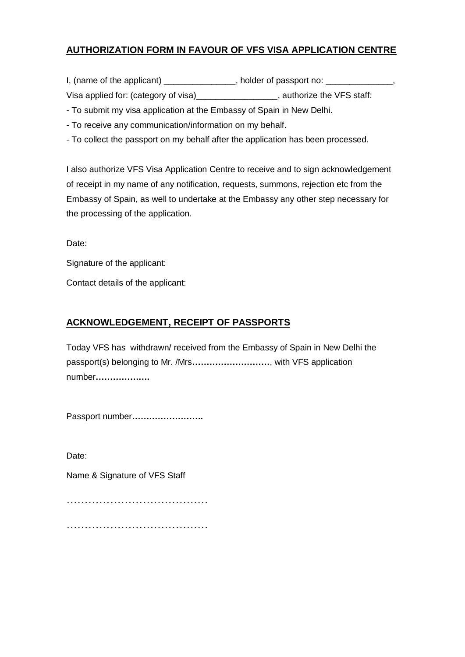# **AUTHORIZATION FORM IN FAVOUR OF VFS VISA APPLICATION CENTRE**

I, (name of the applicant) \_\_\_\_\_\_\_\_\_\_\_\_\_\_\_\_, holder of passport no: \_\_\_\_\_\_\_\_\_

Visa applied for: (category of visa)\_\_\_\_\_\_\_\_\_\_\_\_\_\_\_\_\_\_, authorize the VFS staff:

- To submit my visa application at the Embassy of Spain in New Delhi.

- To receive any communication/information on my behalf.

- To collect the passport on my behalf after the application has been processed.

I also authorize VFS Visa Application Centre to receive and to sign acknowledgement of receipt in my name of any notification, requests, summons, rejection etc from the Embassy of Spain, as well to undertake at the Embassy any other step necessary for the processing of the application.

Date:

Signature of the applicant:

Contact details of the applicant:

## **ACKNOWLEDGEMENT, RECEIPT OF PASSPORTS**

Today VFS has withdrawn/ received from the Embassy of Spain in New Delhi the passport(s) belonging to Mr. /Mrs**………………………**, with VFS application number**……………….**

Passport number**…………………….**

Date:

Name & Signature of VFS Staff

…………………………………

…………………………………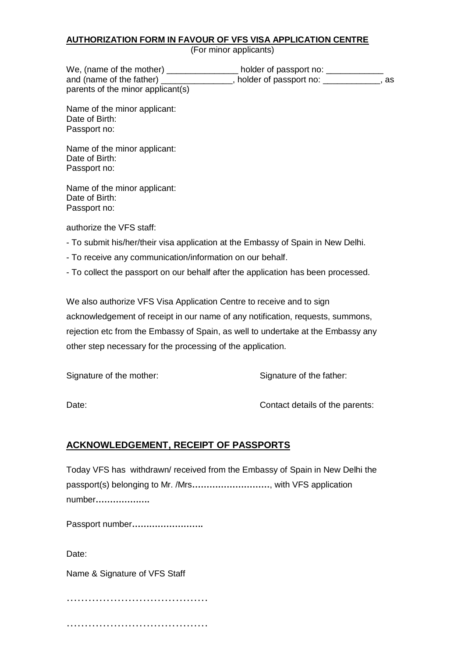#### **AUTHORIZATION FORM IN FAVOUR OF VFS VISA APPLICATION CENTRE**

(For minor applicants)

| We, (name of the mother)          | holder of passport no: |    |
|-----------------------------------|------------------------|----|
| and (name of the father)          | holder of passport no: | as |
| parents of the minor applicant(s) |                        |    |

Name of the minor applicant: Date of Birth: Passport no:

Name of the minor applicant: Date of Birth: Passport no:

Name of the minor applicant: Date of Birth: Passport no:

authorize the VFS staff:

- To submit his/her/their visa application at the Embassy of Spain in New Delhi.
- To receive any communication/information on our behalf.

- To collect the passport on our behalf after the application has been processed.

We also authorize VFS Visa Application Centre to receive and to sign acknowledgement of receipt in our name of any notification, requests, summons, rejection etc from the Embassy of Spain, as well to undertake at the Embassy any other step necessary for the processing of the application.

Signature of the mother: Signature of the father:

Date: Contact details of the parents:

## **ACKNOWLEDGEMENT, RECEIPT OF PASSPORTS**

Today VFS has withdrawn/ received from the Embassy of Spain in New Delhi the passport(s) belonging to Mr. /Mrs**………………………**, with VFS application number**……………….**

Passport number**…………………….**

Date:

Name & Signature of VFS Staff

………………………………………… …………………………………